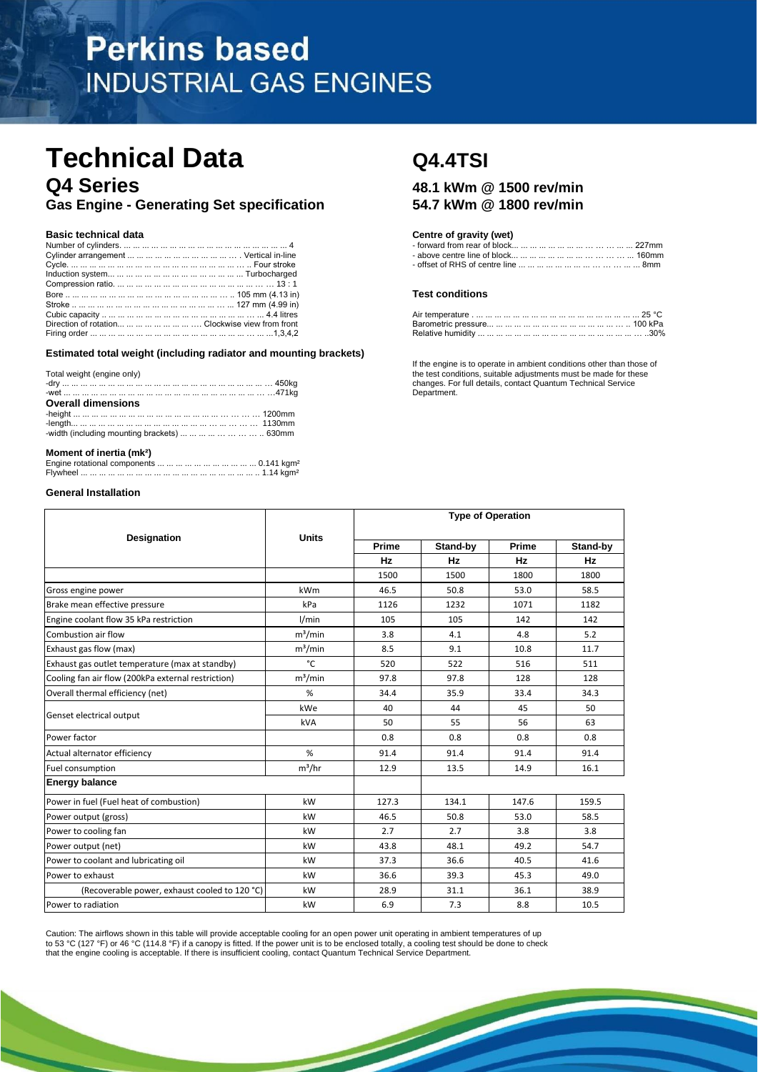# **Perkins based INDUSTRIAL GAS ENGINES**

## **Technical Data Q4.4TSI Q4 Series 48.1 kWm @ 1500 rev/min**

**Gas Engine - Generating Set specification 54.7 kWm @ 1800 rev/min**

|                                                        | <b>Test conditions</b> |
|--------------------------------------------------------|------------------------|
|                                                        |                        |
|                                                        |                        |
| Direction of rotation        Clockwise view from front |                        |
|                                                        |                        |

**Estimated total weight (including radiator and mounting brackets)**

| Total weight (engine only)                                             |  |
|------------------------------------------------------------------------|--|
| <b>Overall dimensions</b>                                              |  |
|                                                                        |  |
|                                                                        |  |
| -width (including mounting brackets)          630mm                    |  |
| 그 그는 그 사람들은 그 사람들은 그 사람들을 지르는 것을 하고 있다. 그 사람들은 그 사람들은 어디에 가는 것을 하고 있다. |  |

## **Moment of inertia (mk²)**

## **General Installation**

## **Basic technical data Centre of gravity (wet) Centre of gravity (wet)**

| Number                 | l trom rear ot block.<br>s mm          |
|------------------------|----------------------------------------|
| Cvlinder arrangement   | $\cdots$ centre line of block<br>160mm |
| Cvcle.<br><b>EQUIP</b> | 8mm<br>* centre line                   |

#### **Test conditions**

| Direction of rotation        Clockwise view from front |  |        |
|--------------------------------------------------------|--|--------|
| Firing order                                           |  | $30\%$ |

If the engine is to operate in ambient conditions other than those of the test conditions, suitable adjustments must be made for these changes. For full details, contact Quantum Technical Service Department.

|                                                    |              |           | <b>Type of Operation</b> |       |          |
|----------------------------------------------------|--------------|-----------|--------------------------|-------|----------|
| Designation                                        | <b>Units</b> | Prime     | Stand-by                 | Prime | Stand-by |
|                                                    |              | <b>Hz</b> | Hz                       | Hz    | Hz       |
|                                                    |              | 1500      | 1500                     | 1800  | 1800     |
| Gross engine power                                 | kWm          | 46.5      | 50.8                     | 53.0  | 58.5     |
| Brake mean effective pressure                      | kPa          | 1126      | 1232                     | 1071  | 1182     |
| Engine coolant flow 35 kPa restriction             | I/min        | 105       | 105                      | 142   | 142      |
| Combustion air flow                                | $m^3/m$ in   | 3.8       | 4.1                      | 4.8   | 5.2      |
| Exhaust gas flow (max)                             | $m^3/m$ in   | 8.5       | 9.1                      | 10.8  | 11.7     |
| Exhaust gas outlet temperature (max at standby)    | °C           | 520       | 522                      | 516   | 511      |
| Cooling fan air flow (200kPa external restriction) | $m^3/m$ in   | 97.8      | 97.8                     | 128   | 128      |
| Overall thermal efficiency (net)                   | %            | 34.4      | 35.9                     | 33.4  | 34.3     |
|                                                    | kWe          | 40        | 44                       | 45    | 50       |
| Genset electrical output                           | kVA          | 50        | 55                       | 56    | 63       |
| Power factor                                       |              | 0.8       | 0.8                      | 0.8   | 0.8      |
| Actual alternator efficiency                       | %            | 91.4      | 91.4                     | 91.4  | 91.4     |
| Fuel consumption                                   | $m^3/hr$     | 12.9      | 13.5                     | 14.9  | 16.1     |
| <b>Energy balance</b>                              |              |           |                          |       |          |
| Power in fuel (Fuel heat of combustion)            | kW           | 127.3     | 134.1                    | 147.6 | 159.5    |
| Power output (gross)                               | kW           | 46.5      | 50.8                     | 53.0  | 58.5     |
| Power to cooling fan                               | kW           | 2.7       | 2.7                      | 3.8   | 3.8      |
| Power output (net)                                 | kW           | 43.8      | 48.1                     | 49.2  | 54.7     |
| Power to coolant and lubricating oil               | kW           | 37.3      | 36.6                     | 40.5  | 41.6     |
| Power to exhaust                                   | kW           | 36.6      | 39.3                     | 45.3  | 49.0     |
| (Recoverable power, exhaust cooled to 120 °C)      | kW           | 28.9      | 31.1                     | 36.1  | 38.9     |
| Power to radiation                                 | kW           | 6.9       | 7.3                      | 8.8   | 10.5     |

Caution: The airflows shown in this table will provide acceptable cooling for an open power unit operating in ambient temperatures of up<br>to 53 °C (127 °F) or 46 °C (114.8 °F) if a canopy is fitted. If the power unit is to that the engine cooling is acceptable. If there is insufficient cooling, contact Quantum Technical Service Department.